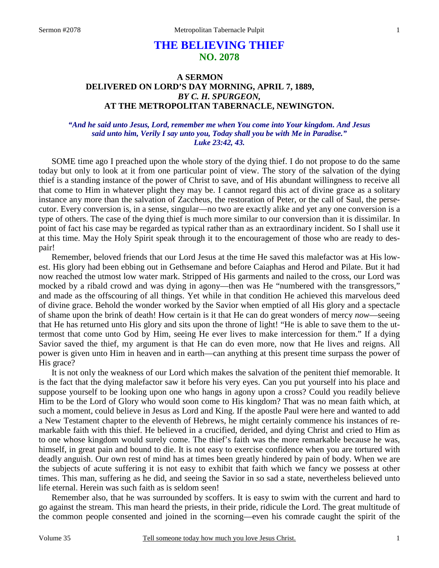# **THE BELIEVING THIEF NO. 2078**

## **A SERMON DELIVERED ON LORD'S DAY MORNING, APRIL 7, 1889,**  *BY C. H. SPURGEON,*  **AT THE METROPOLITAN TABERNACLE, NEWINGTON.**

#### *"And he said unto Jesus, Lord, remember me when You come into Your kingdom. And Jesus said unto him, Verily I say unto you, Today shall you be with Me in Paradise." Luke 23:42, 43.*

SOME time ago I preached upon the whole story of the dying thief. I do not propose to do the same today but only to look at it from one particular point of view. The story of the salvation of the dying thief is a standing instance of the power of Christ to save, and of His abundant willingness to receive all that come to Him in whatever plight they may be. I cannot regard this act of divine grace as a solitary instance any more than the salvation of Zaccheus, the restoration of Peter, or the call of Saul, the persecutor. Every conversion is, in a sense, singular—no two are exactly alike and yet any one conversion is a type of others. The case of the dying thief is much more similar to our conversion than it is dissimilar. In point of fact his case may be regarded as typical rather than as an extraordinary incident. So I shall use it at this time. May the Holy Spirit speak through it to the encouragement of those who are ready to despair!

Remember, beloved friends that our Lord Jesus at the time He saved this malefactor was at His lowest. His glory had been ebbing out in Gethsemane and before Caiaphas and Herod and Pilate. But it had now reached the utmost low water mark. Stripped of His garments and nailed to the cross, our Lord was mocked by a ribald crowd and was dying in agony—then was He "numbered with the transgressors," and made as the offscouring of all things. Yet while in that condition He achieved this marvelous deed of divine grace. Behold the wonder worked by the Savior when emptied of all His glory and a spectacle of shame upon the brink of death! How certain is it that He can do great wonders of mercy *now*—seeing that He has returned unto His glory and sits upon the throne of light! "He is able to save them to the uttermost that come unto God by Him, seeing He ever lives to make intercession for them." If a dying Savior saved the thief, my argument is that He can do even more, now that He lives and reigns. All power is given unto Him in heaven and in earth—can anything at this present time surpass the power of His grace?

It is not only the weakness of our Lord which makes the salvation of the penitent thief memorable. It is the fact that the dying malefactor saw it before his very eyes. Can you put yourself into his place and suppose yourself to be looking upon one who hangs in agony upon a cross? Could you readily believe Him to be the Lord of Glory who would soon come to His kingdom? That was no mean faith which, at such a moment, could believe in Jesus as Lord and King. If the apostle Paul were here and wanted to add a New Testament chapter to the eleventh of Hebrews, he might certainly commence his instances of remarkable faith with this thief. He believed in a crucified, derided, and dying Christ and cried to Him as to one whose kingdom would surely come. The thief's faith was the more remarkable because he was, himself, in great pain and bound to die. It is not easy to exercise confidence when you are tortured with deadly anguish. Our own rest of mind has at times been greatly hindered by pain of body. When we are the subjects of acute suffering it is not easy to exhibit that faith which we fancy we possess at other times. This man, suffering as he did, and seeing the Savior in so sad a state, nevertheless believed unto life eternal. Herein was such faith as is seldom seen!

Remember also, that he was surrounded by scoffers. It is easy to swim with the current and hard to go against the stream. This man heard the priests, in their pride, ridicule the Lord. The great multitude of the common people consented and joined in the scorning—even his comrade caught the spirit of the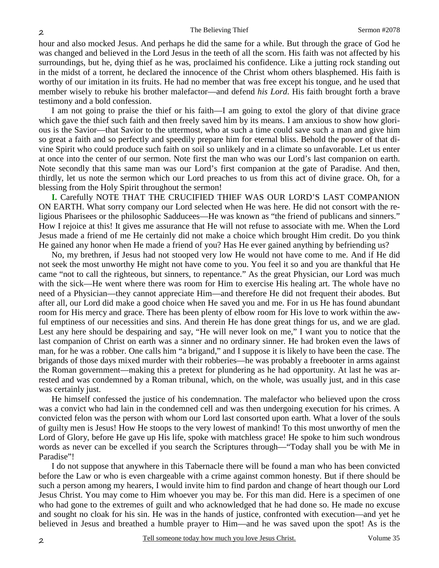hour and also mocked Jesus. And perhaps he did the same for a while. But through the grace of God he was changed and believed in the Lord Jesus in the teeth of all the scorn. His faith was not affected by his surroundings, but he, dying thief as he was, proclaimed his confidence. Like a jutting rock standing out in the midst of a torrent, he declared the innocence of the Christ whom others blasphemed. His faith is worthy of our imitation in its fruits. He had no member that was free except his tongue, and he used that member wisely to rebuke his brother malefactor—and defend *his Lord*. His faith brought forth a brave testimony and a bold confession.

I am not going to praise the thief or his faith—I am going to extol the glory of that divine grace which gave the thief such faith and then freely saved him by its means. I am anxious to show how glorious is the Savior—that Savior to the uttermost, who at such a time could save such a man and give him so great a faith and so perfectly and speedily prepare him for eternal bliss. Behold the power of that divine Spirit who could produce such faith on soil so unlikely and in a climate so unfavorable. Let us enter at once into the center of our sermon. Note first the man who was our Lord's last companion on earth. Note secondly that this same man was our Lord's first companion at the gate of Paradise. And then, thirdly, let us note the sermon which our Lord preaches to us from this act of divine grace. Oh, for a blessing from the Holy Spirit throughout the sermon!

**I.** Carefully NOTE THAT THE CRUCIFIED THIEF WAS OUR LORD'S LAST COMPANION ON EARTH. What sorry company our Lord selected when He was here. He did not consort with the religious Pharisees or the philosophic Sadducees—He was known as "the friend of publicans and sinners." How I rejoice at this! It gives me assurance that He will not refuse to associate with me. When the Lord Jesus made a friend of me He certainly did not make a choice which brought Him credit. Do you think He gained any honor when He made a friend of you? Has He ever gained anything by befriending us?

No, my brethren, if Jesus had not stooped very low He would not have come to me. And if He did not seek the most unworthy He might not have come to you. You feel it so and you are thankful that He came "not to call the righteous, but sinners, to repentance." As the great Physician, our Lord was much with the sick—He went where there was room for Him to exercise His healing art. The whole have no need of a Physician—they cannot appreciate Him—and therefore He did not frequent their abodes. But after all, our Lord did make a good choice when He saved you and me. For in us He has found abundant room for His mercy and grace. There has been plenty of elbow room for His love to work within the awful emptiness of our necessities and sins. And therein He has done great things for us, and we are glad. Lest any here should be despairing and say, "He will never look on me," I want you to notice that the last companion of Christ on earth was a sinner and no ordinary sinner. He had broken even the laws of man, for he was a robber. One calls him "a brigand," and I suppose it is likely to have been the case. The brigands of those days mixed murder with their robberies—he was probably a freebooter in arms against the Roman government—making this a pretext for plundering as he had opportunity. At last he was arrested and was condemned by a Roman tribunal, which, on the whole, was usually just, and in this case was certainly just.

He himself confessed the justice of his condemnation. The malefactor who believed upon the cross was a convict who had lain in the condemned cell and was then undergoing execution for his crimes. A convicted felon was the person with whom our Lord last consorted upon earth. What a lover of the souls of guilty men is Jesus! How He stoops to the very lowest of mankind! To this most unworthy of men the Lord of Glory, before He gave up His life, spoke with matchless grace! He spoke to him such wondrous words as never can be excelled if you search the Scriptures through—"Today shall you be with Me in Paradise"!

I do not suppose that anywhere in this Tabernacle there will be found a man who has been convicted before the Law or who is even chargeable with a crime against common honesty. But if there should be such a person among my hearers, I would invite him to find pardon and change of heart though our Lord Jesus Christ. You may come to Him whoever you may be. For this man did. Here is a specimen of one who had gone to the extremes of guilt and who acknowledged that he had done so. He made no excuse and sought no cloak for his sin. He was in the hands of justice, confronted with execution—and yet he believed in Jesus and breathed a humble prayer to Him—and he was saved upon the spot! As is the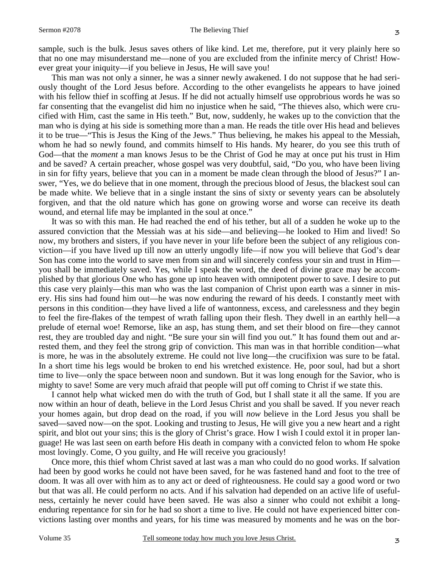sample, such is the bulk. Jesus saves others of like kind. Let me, therefore, put it very plainly here so that no one may misunderstand me—none of you are excluded from the infinite mercy of Christ! However great your iniquity—if you believe in Jesus, He will save you!

This man was not only a sinner, he was a sinner newly awakened. I do not suppose that he had seriously thought of the Lord Jesus before. According to the other evangelists he appears to have joined with his fellow thief in scoffing at Jesus. If he did not actually himself use opprobrious words he was so far consenting that the evangelist did him no injustice when he said, "The thieves also, which were crucified with Him, cast the same in His teeth." But, now, suddenly, he wakes up to the conviction that the man who is dying at his side is something more than a man. He reads the title over His head and believes it to be true—"This is Jesus the King of the Jews." Thus believing, he makes his appeal to the Messiah, whom he had so newly found, and commits himself to His hands. My hearer, do you see this truth of God—that the *moment* a man knows Jesus to be the Christ of God he may at once put his trust in Him and be saved? A certain preacher, whose gospel was very doubtful, said, "Do you, who have been living in sin for fifty years, believe that you can in a moment be made clean through the blood of Jesus?" I answer, "Yes, we do believe that in one moment, through the precious blood of Jesus, the blackest soul can be made white. We believe that in a single instant the sins of sixty or seventy years can be absolutely forgiven, and that the old nature which has gone on growing worse and worse can receive its death wound, and eternal life may be implanted in the soul at once."

It was so with this man. He had reached the end of his tether, but all of a sudden he woke up to the assured conviction that the Messiah was at his side—and believing—he looked to Him and lived! So now, my brothers and sisters, if you have never in your life before been the subject of any religious conviction—if you have lived up till now an utterly ungodly life—if now you will believe that God's dear Son has come into the world to save men from sin and will sincerely confess your sin and trust in Him you shall be immediately saved. Yes, while I speak the word, the deed of divine grace may be accomplished by that glorious One who has gone up into heaven with omnipotent power to save. I desire to put this case very plainly—this man who was the last companion of Christ upon earth was a sinner in misery. His sins had found him out—he was now enduring the reward of his deeds. I constantly meet with persons in this condition—they have lived a life of wantonness, excess, and carelessness and they begin to feel the fire-flakes of the tempest of wrath falling upon their flesh. They dwell in an earthly hell—a prelude of eternal woe! Remorse, like an asp, has stung them, and set their blood on fire—they cannot rest, they are troubled day and night. "Be sure your sin will find you out." It has found them out and arrested them, and they feel the strong grip of conviction. This man was in that horrible condition—what is more, he was in the absolutely extreme. He could not live long—the crucifixion was sure to be fatal. In a short time his legs would be broken to end his wretched existence. He, poor soul, had but a short time to live—only the space between noon and sundown. But it was long enough for the Savior, who is mighty to save! Some are very much afraid that people will put off coming to Christ if we state this.

I cannot help what wicked men do with the truth of God, but I shall state it all the same. If you are now within an hour of death, believe in the Lord Jesus Christ and you shall be saved. If you never reach your homes again, but drop dead on the road, if you will *now* believe in the Lord Jesus you shall be saved—saved now—on the spot. Looking and trusting to Jesus, He will give you a new heart and a right spirit, and blot out your sins; this is the glory of Christ's grace. How I wish I could extol it in proper language! He was last seen on earth before His death in company with a convicted felon to whom He spoke most lovingly. Come, O you guilty, and He will receive you graciously!

Once more, this thief whom Christ saved at last was a man who could do no good works. If salvation had been by good works he could not have been saved, for he was fastened hand and foot to the tree of doom. It was all over with him as to any act or deed of righteousness. He could say a good word or two but that was all. He could perform no acts. And if his salvation had depended on an active life of usefulness, certainly he never could have been saved. He was also a sinner who could not exhibit a longenduring repentance for sin for he had so short a time to live. He could not have experienced bitter convictions lasting over months and years, for his time was measured by moments and he was on the bor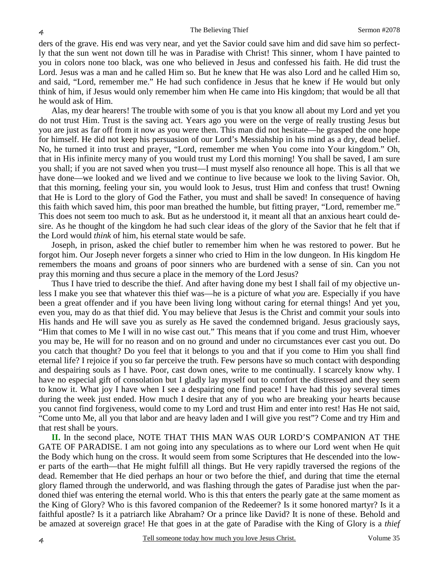ders of the grave. His end was very near, and yet the Savior could save him and did save him so perfectly that the sun went not down till he was in Paradise with Christ! This sinner, whom I have painted to you in colors none too black, was one who believed in Jesus and confessed his faith. He did trust the Lord. Jesus was a man and he called Him so. But he knew that He was also Lord and he called Him so, and said, "Lord, remember me." He had such confidence in Jesus that he knew if He would but only think of him, if Jesus would only remember him when He came into His kingdom; that would be all that he would ask of Him.

Alas, my dear hearers! The trouble with some of you is that you know all about my Lord and yet you do not trust Him. Trust is the saving act. Years ago you were on the verge of really trusting Jesus but you are just as far off from it now as you were then. This man did not hesitate—he grasped the one hope for himself. He did not keep his persuasion of our Lord's Messiahship in his mind as a dry, dead belief. No, he turned it into trust and prayer, "Lord, remember me when You come into Your kingdom." Oh, that in His infinite mercy many of you would trust my Lord this morning! You shall be saved, I am sure you shall; if you are not saved when you trust—I must myself also renounce all hope. This is all that we have done—we looked and we lived and we continue to live because we look to the living Savior. Oh, that this morning, feeling your sin, you would look to Jesus, trust Him and confess that trust! Owning that He is Lord to the glory of God the Father, you must and shall be saved! In consequence of having this faith which saved him, this poor man breathed the humble, but fitting prayer, "Lord, remember me." This does not seem too much to ask. But as he understood it, it meant all that an anxious heart could desire. As he thought of the kingdom he had such clear ideas of the glory of the Savior that he felt that if the Lord would *think* of him, his eternal state would be safe.

Joseph, in prison, asked the chief butler to remember him when he was restored to power. But he forgot him. Our Joseph never forgets a sinner who cried to Him in the low dungeon. In His kingdom He remembers the moans and groans of poor sinners who are burdened with a sense of sin. Can you not pray this morning and thus secure a place in the memory of the Lord Jesus?

Thus I have tried to describe the thief. And after having done my best I shall fail of my objective unless I make you see that whatever this thief was—he is a picture of what *you* are. Especially if you have been a great offender and if you have been living long without caring for eternal things! And yet you, even you, may do as that thief did. You may believe that Jesus is the Christ and commit your souls into His hands and He will save you as surely as He saved the condemned brigand. Jesus graciously says, "Him that comes to Me I will in no wise cast out." This means that if you come and trust Him, whoever you may be, He will for no reason and on no ground and under no circumstances ever cast you out. Do you catch that thought? Do you feel that it belongs to you and that if you come to Him you shall find eternal life? I rejoice if you so far perceive the truth. Few persons have so much contact with desponding and despairing souls as I have. Poor, cast down ones, write to me continually. I scarcely know why. I have no especial gift of consolation but I gladly lay myself out to comfort the distressed and they seem to know it. What joy I have when I see a despairing one find peace! I have had this joy several times during the week just ended. How much I desire that any of you who are breaking your hearts because you cannot find forgiveness, would come to my Lord and trust Him and enter into rest! Has He not said, "Come unto Me, all you that labor and are heavy laden and I will give you rest"? Come and try Him and that rest shall be yours.

**II.** In the second place, NOTE THAT THIS MAN WAS OUR LORD'S COMPANION AT THE GATE OF PARADISE. I am not going into any speculations as to where our Lord went when He quit the Body which hung on the cross. It would seem from some Scriptures that He descended into the lower parts of the earth—that He might fulfill all things. But He very rapidly traversed the regions of the dead. Remember that He died perhaps an hour or two before the thief, and during that time the eternal glory flamed through the underworld, and was flashing through the gates of Paradise just when the pardoned thief was entering the eternal world. Who is this that enters the pearly gate at the same moment as the King of Glory? Who is this favored companion of the Redeemer? Is it some honored martyr? Is it a faithful apostle? Is it a patriarch like Abraham? Or a prince like David? It is none of these. Behold and be amazed at sovereign grace! He that goes in at the gate of Paradise with the King of Glory is a *thief*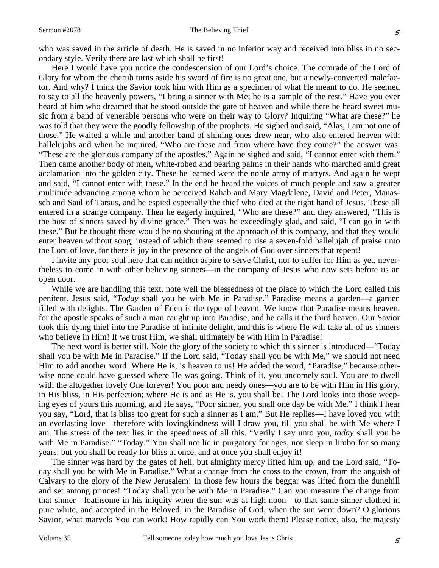who was saved in the article of death. He is saved in no inferior way and received into bliss in no secondary style. Verily there are last which shall be first!

Here I would have you notice the condescension of our Lord's choice. The comrade of the Lord of Glory for whom the cherub turns aside his sword of fire is no great one, but a newly-converted malefactor. And why? I think the Savior took him with Him as a specimen of what He meant to do. He seemed to say to all the heavenly powers, "I bring a sinner with Me; he is a sample of the rest." Have you ever heard of him who dreamed that he stood outside the gate of heaven and while there he heard sweet music from a band of venerable persons who were on their way to Glory? Inquiring "What are these?" he was told that they were the goodly fellowship of the prophets. He sighed and said, "Alas, I am not one of those." He waited a while and another band of shining ones drew near, who also entered heaven with hallelujahs and when he inquired, "Who are these and from where have they come?" the answer was, "These are the glorious company of the apostles." Again he sighed and said, "I cannot enter with them." Then came another body of men, white-robed and bearing palms in their hands who marched amid great acclamation into the golden city. These he learned were the noble army of martyrs. And again he wept and said, "I cannot enter with these." In the end he heard the voices of much people and saw a greater multitude advancing among whom he perceived Rahab and Mary Magdalene, David and Peter, Manasseh and Saul of Tarsus, and he espied especially the thief who died at the right hand of Jesus. These all entered in a strange company. Then he eagerly inquired, "Who are these?" and they answered, "This is the host of sinners saved by divine grace." Then was he exceedingly glad, and said, "I can go in with these." But he thought there would be no shouting at the approach of this company, and that they would enter heaven without song; instead of which there seemed to rise a seven-fold hallelujah of praise unto the Lord of love, for there is joy in the presence of the angels of God over sinners that repent!

I invite any poor soul here that can neither aspire to serve Christ, nor to suffer for Him as yet, nevertheless to come in with other believing sinners—in the company of Jesus who now sets before us an open door.

While we are handling this text, note well the blessedness of the place to which the Lord called this penitent. Jesus said, "*Today* shall you be with Me in Paradise." Paradise means a garden—a garden filled with delights. The Garden of Eden is the type of heaven. We know that Paradise means heaven, for the apostle speaks of such a man caught up into Paradise, and he calls it the third heaven. Our Savior took this dying thief into the Paradise of infinite delight, and this is where He will take all of us sinners who believe in Him! If we trust Him, we shall ultimately be with Him in Paradise!

The next word is better still. Note the glory of the society to which this sinner is introduced—"Today shall you be with Me in Paradise." If the Lord said, "Today shall you be with Me," we should not need Him to add another word. Where He is, is heaven to us! He added the word, "Paradise," because otherwise none could have guessed where He was going. Think of it, you uncomely soul. You are to dwell with the altogether lovely One forever! You poor and needy ones—you are to be with Him in His glory, in His bliss, in His perfection; where He is and as He is, you shall be! The Lord looks into those weeping eyes of yours this morning, and He says, "Poor sinner, you shall one day be with Me." I think I hear you say, "Lord, that is bliss too great for such a sinner as I am." But He replies—I have loved you with an everlasting love—therefore with lovingkindness will I draw you, till you shall be with Me where I am. The stress of the text lies in the speediness of all this. "Verily I say unto you, *today* shall you be with Me in Paradise." "Today." You shall not lie in purgatory for ages, nor sleep in limbo for so many years, but you shall be ready for bliss at once, and at once you shall enjoy it!

The sinner was hard by the gates of hell, but almighty mercy lifted him up, and the Lord said, "Today shall you be with Me in Paradise." What a change from the cross to the crown, from the anguish of Calvary to the glory of the New Jerusalem! In those few hours the beggar was lifted from the dunghill and set among princes! "Today shall you be with Me in Paradise." Can you measure the change from that sinner—loathsome in his iniquity when the sun was at high noon—to that same sinner clothed in pure white, and accepted in the Beloved, in the Paradise of God, when the sun went down? O glorious Savior, what marvels You can work! How rapidly can You work them! Please notice, also, the majesty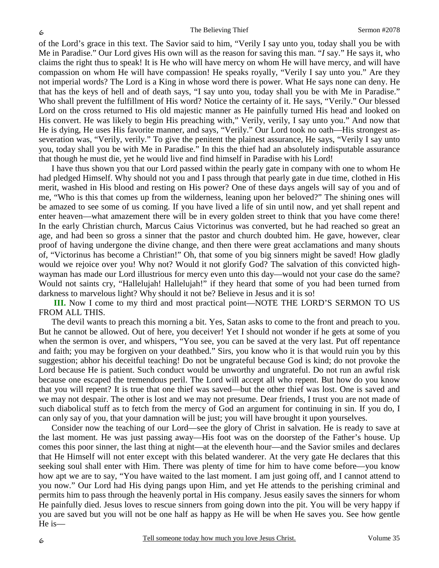of the Lord's grace in this text. The Savior said to him, "Verily I say unto you, today shall you be with Me in Paradise." Our Lord gives His own will as the reason for saving this man. "*I* say." He says it, who claims the right thus to speak! It is He who will have mercy on whom He will have mercy, and will have compassion on whom He will have compassion! He speaks royally, "Verily I say unto you." Are they not imperial words? The Lord is a King in whose word there is power. What He says none can deny. He that has the keys of hell and of death says, "I say unto you, today shall you be with Me in Paradise." Who shall prevent the fulfillment of His word? Notice the certainty of it. He says, "Verily." Our blessed Lord on the cross returned to His old majestic manner as He painfully turned His head and looked on His convert. He was likely to begin His preaching with," Verily, verily, I say unto you." And now that He is dying, He uses His favorite manner, and says, "Verily." Our Lord took no oath—His strongest asseveration was, "Verily, verily." To give the penitent the plainest assurance, He says, "Verily I say unto you, today shall you be with Me in Paradise." In this the thief had an absolutely indisputable assurance that though he must die, yet he would live and find himself in Paradise with his Lord!

I have thus shown you that our Lord passed within the pearly gate in company with one to whom He had pledged Himself. Why should not you and I pass through that pearly gate in due time, clothed in His merit, washed in His blood and resting on His power? One of these days angels will say of you and of me, "Who is this that comes up from the wilderness, leaning upon her beloved?" The shining ones will be amazed to see some of us coming. If you have lived a life of sin until now, and yet shall repent and enter heaven—what amazement there will be in every golden street to think that you have come there! In the early Christian church, Marcus Caius Victorinus was converted, but he had reached so great an age, and had been so gross a sinner that the pastor and church doubted him. He gave, however, clear proof of having undergone the divine change, and then there were great acclamations and many shouts of, "Victorinus has become a Christian!" Oh, that some of you big sinners might be saved! How gladly would we rejoice over you! Why not? Would it not glorify God? The salvation of this convicted highwayman has made our Lord illustrious for mercy even unto this day—would not your case do the same? Would not saints cry, "Hallelujah! Hallelujah!" if they heard that some of you had been turned from darkness to marvelous light? Why should it not be? Believe in Jesus and it is so!

## **III.** Now I come to my third and most practical point—NOTE THE LORD'S SERMON TO US FROM ALL THIS.

The devil wants to preach this morning a bit. Yes, Satan asks to come to the front and preach to you. But he cannot be allowed. Out of here, you deceiver! Yet I should not wonder if he gets at some of you when the sermon is over, and whispers, "You see, you can be saved at the very last. Put off repentance and faith; you may be forgiven on your deathbed." Sirs, you know who it is that would ruin you by this suggestion; abhor his deceitful teaching! Do not be ungrateful because God is kind; do not provoke the Lord because He is patient. Such conduct would be unworthy and ungrateful. Do not run an awful risk because one escaped the tremendous peril. The Lord will accept all who repent. But how do you know that you will repent? It is true that one thief was saved—but the other thief was lost. One is saved and we may not despair. The other is lost and we may not presume. Dear friends, I trust you are not made of such diabolical stuff as to fetch from the mercy of God an argument for continuing in sin. If you do, I can only say of you, that your damnation will be just; you will have brought it upon yourselves.

Consider now the teaching of our Lord—see the glory of Christ in salvation. He is ready to save at the last moment. He was just passing away—His foot was on the doorstep of the Father's house. Up comes this poor sinner, the last thing at night—at the eleventh hour—and the Savior smiles and declares that He Himself will not enter except with this belated wanderer. At the very gate He declares that this seeking soul shall enter with Him. There was plenty of time for him to have come before—you know how apt we are to say, "You have waited to the last moment. I am just going off, and I cannot attend to you now." Our Lord had His dying pangs upon Him, and yet He attends to the perishing criminal and permits him to pass through the heavenly portal in His company. Jesus easily saves the sinners for whom He painfully died. Jesus loves to rescue sinners from going down into the pit. You will be very happy if you are saved but you will not be one half as happy as He will be when He saves you. See how gentle He is—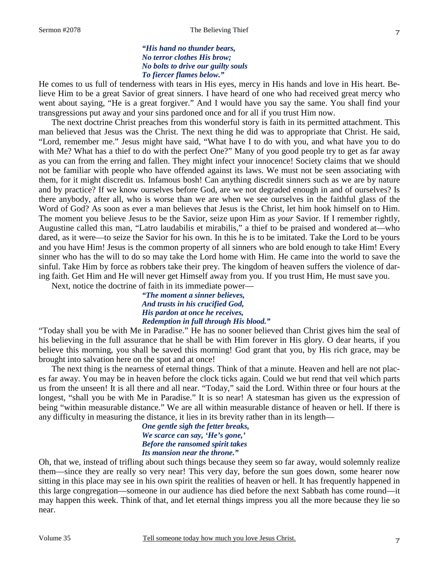### *"His hand no thunder bears, No terror clothes His brow; No bolts to drive our guilty souls To fiercer flames below."*

He comes to us full of tenderness with tears in His eyes, mercy in His hands and love in His heart. Believe Him to be a great Savior of great sinners. I have heard of one who had received great mercy who went about saying, "He is a great forgiver." And I would have you say the same. You shall find your transgressions put away and your sins pardoned once and for all if you trust Him now.

The next doctrine Christ preaches from this wonderful story is faith in its permitted attachment. This man believed that Jesus was the Christ. The next thing he did was to appropriate that Christ. He said, "Lord, remember me." Jesus might have said, "What have I to do with you, and what have you to do with Me? What has a thief to do with the perfect One?" Many of you good people try to get as far away as you can from the erring and fallen. They might infect your innocence! Society claims that we should not be familiar with people who have offended against its laws. We must not be seen associating with them, for it might discredit us. Infamous bosh! Can anything discredit sinners such as we are by nature and by practice? If we know ourselves before God, are we not degraded enough in and of ourselves? Is there anybody, after all, who is worse than we are when we see ourselves in the faithful glass of the Word of God? As soon as ever a man believes that Jesus is the Christ, let him hook himself on to Him. The moment you believe Jesus to be the Savior, seize upon Him as *your* Savior. If I remember rightly, Augustine called this man, "Latro laudabilis et mirabilis," a thief to be praised and wondered at—who dared, as it were—to seize the Savior for his own. In this he is to be imitated. Take the Lord to be yours and you have Him! Jesus is the common property of all sinners who are bold enough to take Him! Every sinner who has the will to do so may take the Lord home with Him. He came into the world to save the sinful. Take Him by force as robbers take their prey. The kingdom of heaven suffers the violence of daring faith. Get Him and He will never get Himself away from you. If you trust Him, He must save you.

Next, notice the doctrine of faith in its immediate power—

*"The moment a sinner believes, And trusts in his crucified God, His pardon at once he receives, Redemption in full through His blood."* 

"Today shall you be with Me in Paradise." He has no sooner believed than Christ gives him the seal of his believing in the full assurance that he shall be with Him forever in His glory. O dear hearts, if you believe this morning, you shall be saved this morning! God grant that you, by His rich grace, may be brought into salvation here on the spot and at once!

The next thing is the nearness of eternal things. Think of that a minute. Heaven and hell are not places far away. You may be in heaven before the clock ticks again. Could we but rend that veil which parts us from the unseen! It is all there and all near. "Today," said the Lord. Within three or four hours at the longest, "shall you be with Me in Paradise." It is so near! A statesman has given us the expression of being "within measurable distance." We are all within measurable distance of heaven or hell. If there is any difficulty in measuring the distance, it lies in its brevity rather than in its length—

### *One gentle sigh the fetter breaks, We scarce can say, 'He's gone,' Before the ransomed spirit takes Its mansion near the throne."*

Oh, that we, instead of trifling about such things because they seem so far away, would solemnly realize them—since they are really so very near! This very day, before the sun goes down, some hearer now sitting in this place may see in his own spirit the realities of heaven or hell. It has frequently happened in this large congregation—someone in our audience has died before the next Sabbath has come round—it may happen this week. Think of that, and let eternal things impress you all the more because they lie so near.